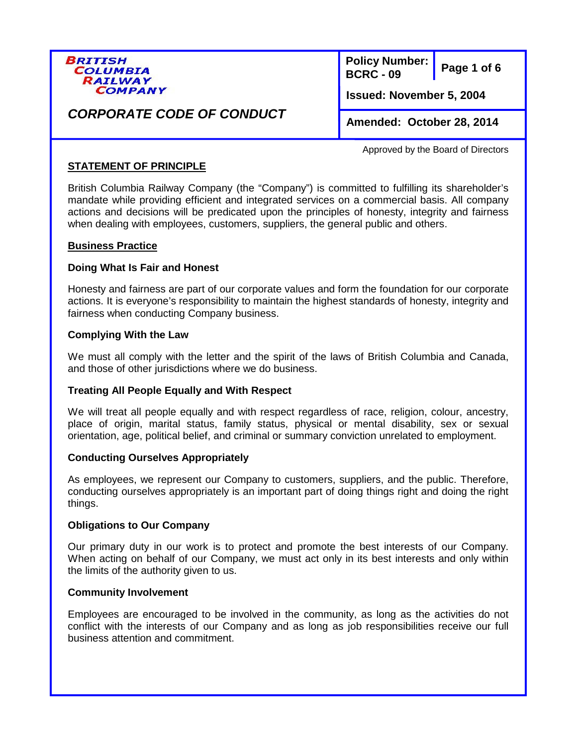

**Page 1 of 6 Policy Number: BCRC - 09**

**Issued: November 5, 2004** 

## **Amended: October 28, 2014**

*CORPORATE CODE OF CONDUCT* 

Approved by the Board of Directors

## **STATEMENT OF PRINCIPLE**

British Columbia Railway Company (the "Company") is committed to fulfilling its shareholder's mandate while providing efficient and integrated services on a commercial basis. All company actions and decisions will be predicated upon the principles of honesty, integrity and fairness when dealing with employees, customers, suppliers, the general public and others.

## **Business Practice**

## **Doing What Is Fair and Honest**

Honesty and fairness are part of our corporate values and form the foundation for our corporate actions. It is everyone's responsibility to maintain the highest standards of honesty, integrity and fairness when conducting Company business.

## **Complying With the Law**

We must all comply with the letter and the spirit of the laws of British Columbia and Canada, and those of other jurisdictions where we do business.

## **Treating All People Equally and With Respect**

We will treat all people equally and with respect regardless of race, religion, colour, ancestry, place of origin, marital status, family status, physical or mental disability, sex or sexual orientation, age, political belief, and criminal or summary conviction unrelated to employment.

## **Conducting Ourselves Appropriately**

As employees, we represent our Company to customers, suppliers, and the public. Therefore, conducting ourselves appropriately is an important part of doing things right and doing the right things.

## **Obligations to Our Company**

Our primary duty in our work is to protect and promote the best interests of our Company. When acting on behalf of our Company, we must act only in its best interests and only within the limits of the authority given to us.

## **Community Involvement**

Employees are encouraged to be involved in the community, as long as the activities do not conflict with the interests of our Company and as long as job responsibilities receive our full business attention and commitment.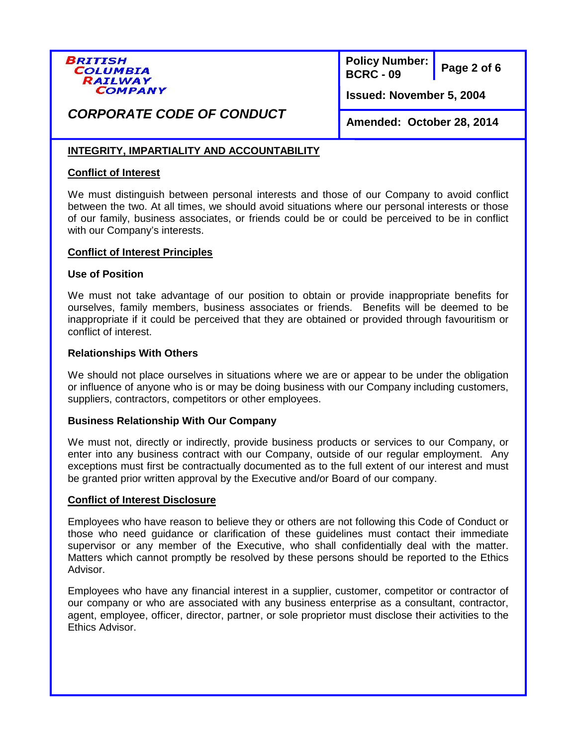

**Page 2 of 6 Policy Number: BCRC - 09**

**Issued: November 5, 2004** 

# *CORPORATE CODE OF CONDUCT*

**Amended: October 28, 2014**

## **INTEGRITY, IMPARTIALITY AND ACCOUNTABILITY**

### **Conflict of Interest**

We must distinguish between personal interests and those of our Company to avoid conflict between the two. At all times, we should avoid situations where our personal interests or those of our family, business associates, or friends could be or could be perceived to be in conflict with our Company's interests.

#### **Conflict of Interest Principles**

#### **Use of Position**

We must not take advantage of our position to obtain or provide inappropriate benefits for ourselves, family members, business associates or friends. Benefits will be deemed to be inappropriate if it could be perceived that they are obtained or provided through favouritism or conflict of interest.

#### **Relationships With Others**

We should not place ourselves in situations where we are or appear to be under the obligation or influence of anyone who is or may be doing business with our Company including customers, suppliers, contractors, competitors or other employees.

#### **Business Relationship With Our Company**

We must not, directly or indirectly, provide business products or services to our Company, or enter into any business contract with our Company, outside of our regular employment. Any exceptions must first be contractually documented as to the full extent of our interest and must be granted prior written approval by the Executive and/or Board of our company.

#### **Conflict of Interest Disclosure**

Employees who have reason to believe they or others are not following this Code of Conduct or those who need guidance or clarification of these guidelines must contact their immediate supervisor or any member of the Executive, who shall confidentially deal with the matter. Matters which cannot promptly be resolved by these persons should be reported to the Ethics Advisor.

Employees who have any financial interest in a supplier, customer, competitor or contractor of our company or who are associated with any business enterprise as a consultant, contractor, agent, employee, officer, director, partner, or sole proprietor must disclose their activities to the Ethics Advisor.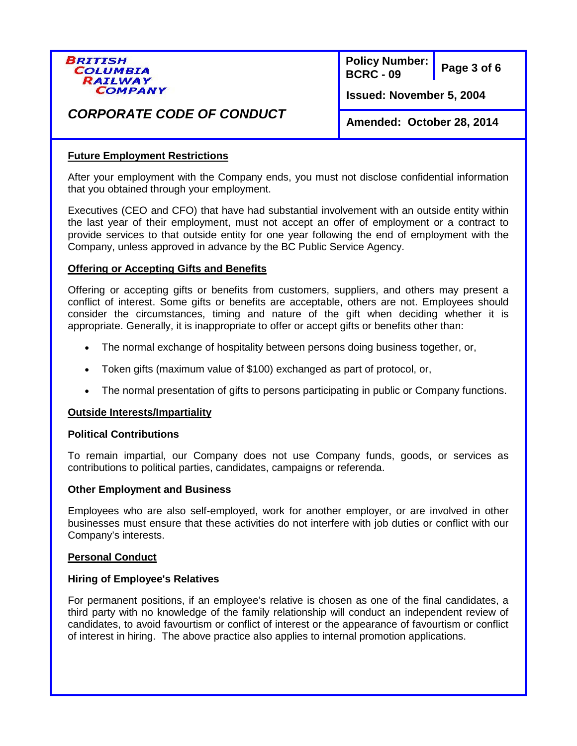

**Page 3 of 6 Policy Number: BCRC - 09**

**Issued: November 5, 2004** 

# *CORPORATE CODE OF CONDUCT*

**Amended: October 28, 2014**

## **Future Employment Restrictions**

After your employment with the Company ends, you must not disclose confidential information that you obtained through your employment.

Executives (CEO and CFO) that have had substantial involvement with an outside entity within the last year of their employment, must not accept an offer of employment or a contract to provide services to that outside entity for one year following the end of employment with the Company, unless approved in advance by the BC Public Service Agency.

## **Offering or Accepting Gifts and Benefits**

Offering or accepting gifts or benefits from customers, suppliers, and others may present a conflict of interest. Some gifts or benefits are acceptable, others are not. Employees should consider the circumstances, timing and nature of the gift when deciding whether it is appropriate. Generally, it is inappropriate to offer or accept gifts or benefits other than:

- The normal exchange of hospitality between persons doing business together, or,
- Token gifts (maximum value of \$100) exchanged as part of protocol, or,
- The normal presentation of gifts to persons participating in public or Company functions.

#### **Outside Interests/Impartiality**

#### **Political Contributions**

To remain impartial, our Company does not use Company funds, goods, or services as contributions to political parties, candidates, campaigns or referenda.

#### **Other Employment and Business**

Employees who are also self-employed, work for another employer, or are involved in other businesses must ensure that these activities do not interfere with job duties or conflict with our Company's interests.

#### **Personal Conduct**

#### **Hiring of Employee's Relatives**

For permanent positions, if an employee's relative is chosen as one of the final candidates, a third party with no knowledge of the family relationship will conduct an independent review of candidates, to avoid favourtism or conflict of interest or the appearance of favourtism or conflict of interest in hiring. The above practice also applies to internal promotion applications.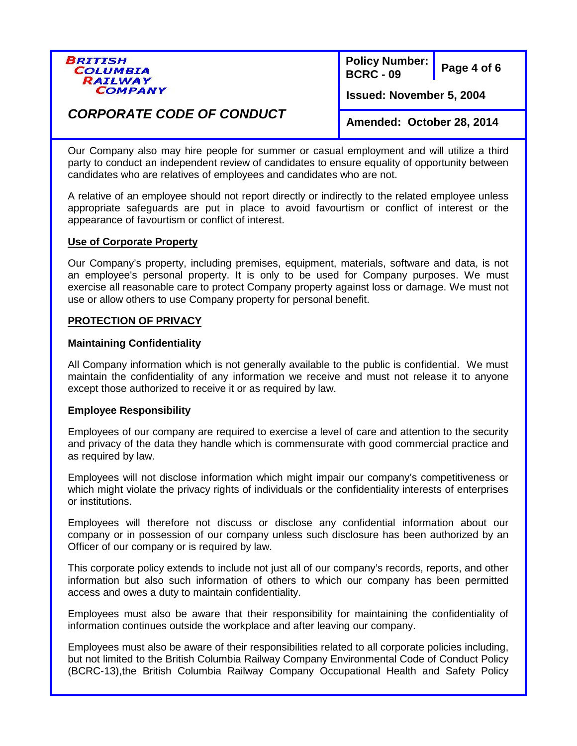

**Page 4 of 6 Policy Number: BCRC - 09**

**Issued: November 5, 2004** 

# *CORPORATE CODE OF CONDUCT*

**Amended: October 28, 2014**

Our Company also may hire people for summer or casual employment and will utilize a third party to conduct an independent review of candidates to ensure equality of opportunity between candidates who are relatives of employees and candidates who are not.

A relative of an employee should not report directly or indirectly to the related employee unless appropriate safeguards are put in place to avoid favourtism or conflict of interest or the appearance of favourtism or conflict of interest.

#### **Use of Corporate Property**

Our Company's property, including premises, equipment, materials, software and data, is not an employee's personal property. It is only to be used for Company purposes. We must exercise all reasonable care to protect Company property against loss or damage. We must not use or allow others to use Company property for personal benefit.

#### **PROTECTION OF PRIVACY**

#### **Maintaining Confidentiality**

All Company information which is not generally available to the public is confidential. We must maintain the confidentiality of any information we receive and must not release it to anyone except those authorized to receive it or as required by law.

#### **Employee Responsibility**

Employees of our company are required to exercise a level of care and attention to the security and privacy of the data they handle which is commensurate with good commercial practice and as required by law.

Employees will not disclose information which might impair our company's competitiveness or which might violate the privacy rights of individuals or the confidentiality interests of enterprises or institutions.

Employees will therefore not discuss or disclose any confidential information about our company or in possession of our company unless such disclosure has been authorized by an Officer of our company or is required by law.

This corporate policy extends to include not just all of our company's records, reports, and other information but also such information of others to which our company has been permitted access and owes a duty to maintain confidentiality.

Employees must also be aware that their responsibility for maintaining the confidentiality of information continues outside the workplace and after leaving our company.

Employees must also be aware of their responsibilities related to all corporate policies including, but not limited to the British Columbia Railway Company Environmental Code of Conduct Policy (BCRC-13),the British Columbia Railway Company Occupational Health and Safety Policy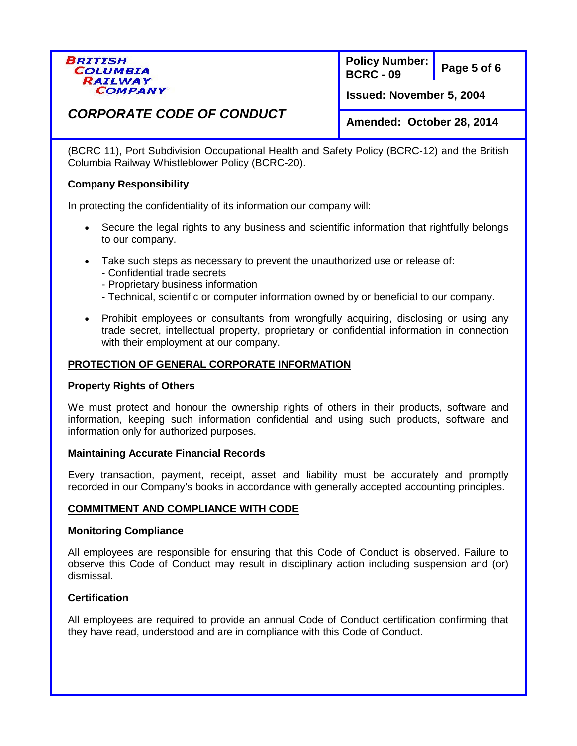

**Page 5 of 6 Policy Number: BCRC - 09**

**Issued: November 5, 2004** 

# *CORPORATE CODE OF CONDUCT*

**Amended: October 28, 2014**

(BCRC 11), Port Subdivision Occupational Health and Safety Policy (BCRC-12) and the British Columbia Railway Whistleblower Policy (BCRC-20).

### **Company Responsibility**

In protecting the confidentiality of its information our company will:

- Secure the legal rights to any business and scientific information that rightfully belongs to our company.
- Take such steps as necessary to prevent the unauthorized use or release of:
	- Confidential trade secrets
	- Proprietary business information
	- Technical, scientific or computer information owned by or beneficial to our company.
- Prohibit employees or consultants from wrongfully acquiring, disclosing or using any trade secret, intellectual property, proprietary or confidential information in connection with their employment at our company.

## **PROTECTION OF GENERAL CORPORATE INFORMATION**

#### **Property Rights of Others**

We must protect and honour the ownership rights of others in their products, software and information, keeping such information confidential and using such products, software and information only for authorized purposes.

#### **Maintaining Accurate Financial Records**

Every transaction, payment, receipt, asset and liability must be accurately and promptly recorded in our Company's books in accordance with generally accepted accounting principles.

## **COMMITMENT AND COMPLIANCE WITH CODE**

#### **Monitoring Compliance**

All employees are responsible for ensuring that this Code of Conduct is observed. Failure to observe this Code of Conduct may result in disciplinary action including suspension and (or) dismissal.

## **Certification**

All employees are required to provide an annual Code of Conduct certification confirming that they have read, understood and are in compliance with this Code of Conduct.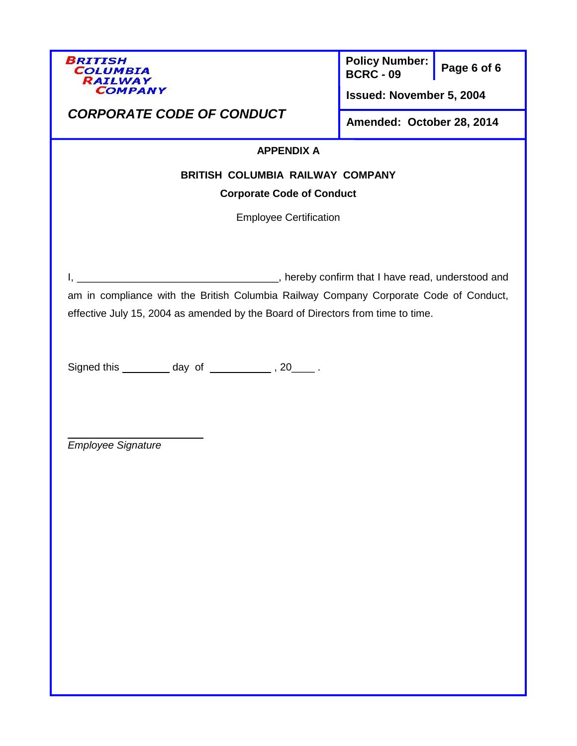

**Page 6 of 6 Policy Number: BCRC - 09**

**Issued: November 5, 2004** 

# *CORPORATE CODE OF CONDUCT*

**Amended: October 28, 2014**

## **APPENDIX A**

## **BRITISH COLUMBIA RAILWAY COMPANY**

## **Corporate Code of Conduct**

Employee Certification

I, \_\_\_\_\_\_\_\_\_\_\_\_\_\_\_\_\_\_\_\_\_\_\_\_\_\_\_\_\_\_\_\_\_\_\_, hereby confirm that I have read, understood and am in compliance with the British Columbia Railway Company Corporate Code of Conduct, effective July 15, 2004 as amended by the Board of Directors from time to time.

Signed this  $\_\_\_\_$  day of  $\_\_\_\_\_$ , 20 $\_\_\_$ .

*Employee Signature*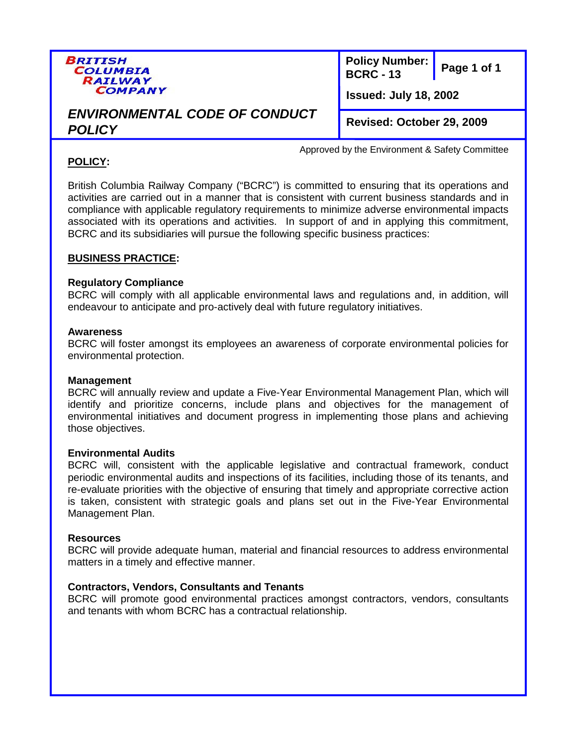

**Page 1 of 1 Policy Number: BCRC - 13**

**Issued: July 18, 2002**

Approved by the Environment & Safety Committee

# *ENVIRONMENTAL CODE OF CONDUCT POLICY*

**Revised: October 29, 2009**

## **POLICY:**

British Columbia Railway Company ("BCRC") is committed to ensuring that its operations and activities are carried out in a manner that is consistent with current business standards and in compliance with applicable regulatory requirements to minimize adverse environmental impacts associated with its operations and activities. In support of and in applying this commitment, BCRC and its subsidiaries will pursue the following specific business practices:

## **BUSINESS PRACTICE:**

## **Regulatory Compliance**

BCRC will comply with all applicable environmental laws and regulations and, in addition, will endeavour to anticipate and pro-actively deal with future regulatory initiatives.

#### **Awareness**

BCRC will foster amongst its employees an awareness of corporate environmental policies for environmental protection.

## **Management**

BCRC will annually review and update a Five-Year Environmental Management Plan, which will identify and prioritize concerns, include plans and objectives for the management of environmental initiatives and document progress in implementing those plans and achieving those objectives.

## **Environmental Audits**

BCRC will, consistent with the applicable legislative and contractual framework, conduct periodic environmental audits and inspections of its facilities, including those of its tenants, and re-evaluate priorities with the objective of ensuring that timely and appropriate corrective action is taken, consistent with strategic goals and plans set out in the Five-Year Environmental Management Plan.

#### **Resources**

BCRC will provide adequate human, material and financial resources to address environmental matters in a timely and effective manner.

## **Contractors, Vendors, Consultants and Tenants**

BCRC will promote good environmental practices amongst contractors, vendors, consultants and tenants with whom BCRC has a contractual relationship.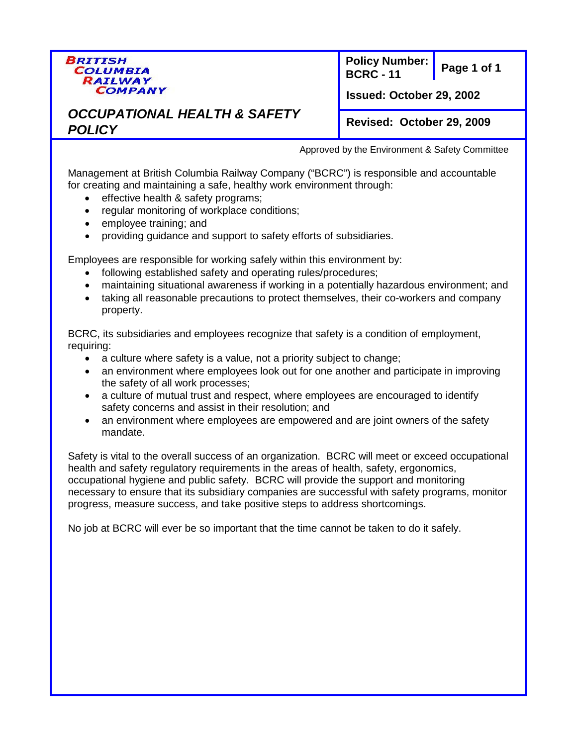

**Page 1 of 1 Policy Number: BCRC - 11**

**Issued: October 29, 2002**

## *OCCUPATIONAL HEALTH & SAFETY POLICY*

**Revised: October 29, 2009**

Approved by the Environment & Safety Committee

Management at British Columbia Railway Company ("BCRC") is responsible and accountable for creating and maintaining a safe, healthy work environment through:

- effective health & safety programs;
- regular monitoring of workplace conditions;
- employee training; and
- providing guidance and support to safety efforts of subsidiaries.

Employees are responsible for working safely within this environment by:

- following established safety and operating rules/procedures;
- maintaining situational awareness if working in a potentially hazardous environment; and
- taking all reasonable precautions to protect themselves, their co-workers and company property.

BCRC, its subsidiaries and employees recognize that safety is a condition of employment, requiring:

- a culture where safety is a value, not a priority subject to change;
- an environment where employees look out for one another and participate in improving the safety of all work processes;
- a culture of mutual trust and respect, where employees are encouraged to identify safety concerns and assist in their resolution; and
- an environment where employees are empowered and are joint owners of the safety mandate.

Safety is vital to the overall success of an organization. BCRC will meet or exceed occupational health and safety regulatory requirements in the areas of health, safety, ergonomics, occupational hygiene and public safety. BCRC will provide the support and monitoring necessary to ensure that its subsidiary companies are successful with safety programs, monitor progress, measure success, and take positive steps to address shortcomings.

No job at BCRC will ever be so important that the time cannot be taken to do it safely.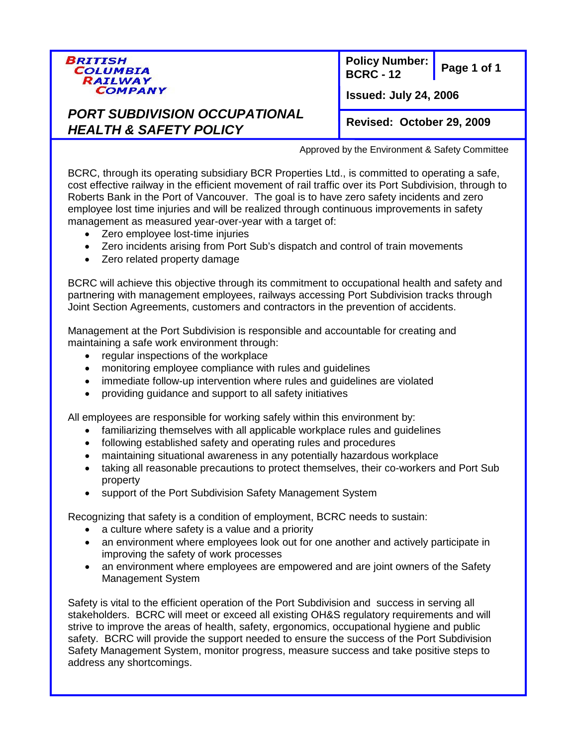

**Page 1 of 1 Policy Number: BCRC - 12**

**Issued: July 24, 2006**

*PORT SUBDIVISION OCCUPATIONAL HEALTH & SAFETY POLICY*

**Revised: October 29, 2009**

Approved by the Environment & Safety Committee

BCRC, through its operating subsidiary BCR Properties Ltd., is committed to operating a safe, cost effective railway in the efficient movement of rail traffic over its Port Subdivision, through to Roberts Bank in the Port of Vancouver. The goal is to have zero safety incidents and zero employee lost time injuries and will be realized through continuous improvements in safety management as measured year-over-year with a target of:

- Zero employee lost-time injuries
- Zero incidents arising from Port Sub's dispatch and control of train movements
- Zero related property damage

BCRC will achieve this objective through its commitment to occupational health and safety and partnering with management employees, railways accessing Port Subdivision tracks through Joint Section Agreements, customers and contractors in the prevention of accidents.

Management at the Port Subdivision is responsible and accountable for creating and maintaining a safe work environment through:

- regular inspections of the workplace
- monitoring employee compliance with rules and guidelines
- immediate follow-up intervention where rules and guidelines are violated
- providing guidance and support to all safety initiatives

All employees are responsible for working safely within this environment by:

- familiarizing themselves with all applicable workplace rules and guidelines
- following established safety and operating rules and procedures
- maintaining situational awareness in any potentially hazardous workplace
- taking all reasonable precautions to protect themselves, their co-workers and Port Sub property
- support of the Port Subdivision Safety Management System

Recognizing that safety is a condition of employment, BCRC needs to sustain:

- a culture where safety is a value and a priority
- an environment where employees look out for one another and actively participate in improving the safety of work processes
- an environment where employees are empowered and are joint owners of the Safety Management System

Safety is vital to the efficient operation of the Port Subdivision and success in serving all stakeholders. BCRC will meet or exceed all existing OH&S regulatory requirements and will strive to improve the areas of health, safety, ergonomics, occupational hygiene and public safety. BCRC will provide the support needed to ensure the success of the Port Subdivision Safety Management System, monitor progress, measure success and take positive steps to address any shortcomings.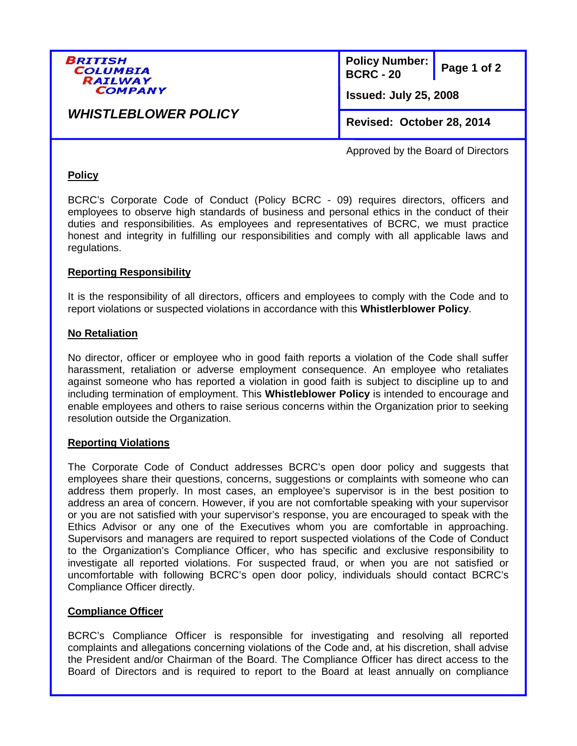

**Page 1 of 2 Policy Number: BCRC - 20 Issued: July 25, 2008**

*WHISTLEBLOWER POLICY*

**Revised: October 28, 2014**

Approved by the Board of Directors

## **Policy**

BCRC's Corporate Code of Conduct (Policy BCRC - 09) requires directors, officers and employees to observe high standards of business and personal ethics in the conduct of their duties and responsibilities. As employees and representatives of BCRC, we must practice honest and integrity in fulfilling our responsibilities and comply with all applicable laws and regulations.

## **Reporting Responsibility**

It is the responsibility of all directors, officers and employees to comply with the Code and to report violations or suspected violations in accordance with this **Whistlerblower Policy**.

#### **No Retaliation**

No director, officer or employee who in good faith reports a violation of the Code shall suffer harassment, retaliation or adverse employment consequence. An employee who retaliates against someone who has reported a violation in good faith is subject to discipline up to and including termination of employment. This **Whistleblower Policy** is intended to encourage and enable employees and others to raise serious concerns within the Organization prior to seeking resolution outside the Organization.

#### **Reporting Violations**

The Corporate Code of Conduct addresses BCRC's open door policy and suggests that employees share their questions, concerns, suggestions or complaints with someone who can address them properly. In most cases, an employee's supervisor is in the best position to address an area of concern. However, if you are not comfortable speaking with your supervisor or you are not satisfied with your supervisor's response, you are encouraged to speak with the Ethics Advisor or any one of the Executives whom you are comfortable in approaching. Supervisors and managers are required to report suspected violations of the Code of Conduct to the Organization's Compliance Officer, who has specific and exclusive responsibility to investigate all reported violations. For suspected fraud, or when you are not satisfied or uncomfortable with following BCRC's open door policy, individuals should contact BCRC's Compliance Officer directly.

## **Compliance Officer**

BCRC's Compliance Officer is responsible for investigating and resolving all reported complaints and allegations concerning violations of the Code and, at his discretion, shall advise the President and/or Chairman of the Board. The Compliance Officer has direct access to the Board of Directors and is required to report to the Board at least annually on compliance